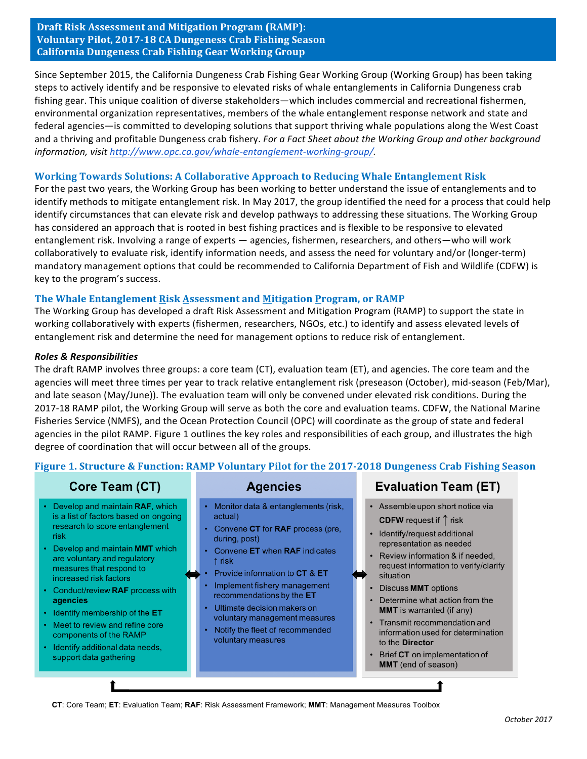**Draft Risk Assessment and Mitigation Program (RAMP): Voluntary Pilot, 2017-18 CA Dungeness Crab Fishing Season California Dungeness Crab Fishing Gear Working Group**

Since September 2015, the California Dungeness Crab Fishing Gear Working Group (Working Group) has been taking steps to actively identify and be responsive to elevated risks of whale entanglements in California Dungeness crab fishing gear. This unique coalition of diverse stakeholders—which includes commercial and recreational fishermen, environmental organization representatives, members of the whale entanglement response network and state and federal agencies—is committed to developing solutions that support thriving whale populations along the West Coast and a thriving and profitable Dungeness crab fishery. *For a Fact Sheet about the Working Group and other background information, visit http://www.opc.ca.gov/whale-entanglement-working-group/.* 

### **Working Towards Solutions: A Collaborative Approach to Reducing Whale Entanglement Risk**

For the past two years, the Working Group has been working to better understand the issue of entanglements and to identify methods to mitigate entanglement risk. In May 2017, the group identified the need for a process that could help identify circumstances that can elevate risk and develop pathways to addressing these situations. The Working Group has considered an approach that is rooted in best fishing practices and is flexible to be responsive to elevated entanglement risk. Involving a range of experts — agencies, fishermen, researchers, and others—who will work collaboratively to evaluate risk, identify information needs, and assess the need for voluntary and/or (longer-term) mandatory management options that could be recommended to California Department of Fish and Wildlife (CDFW) is key to the program's success.

### **The Whale Entanglement Risk Assessment and Mitigation Program, or RAMP**

The Working Group has developed a draft Risk Assessment and Mitigation Program (RAMP) to support the state in working collaboratively with experts (fishermen, researchers, NGOs, etc.) to identify and assess elevated levels of entanglement risk and determine the need for management options to reduce risk of entanglement.

#### *Roles & Responsibilities*

The draft RAMP involves three groups: a core team (CT), evaluation team (ET), and agencies. The core team and the agencies will meet three times per year to track relative entanglement risk (preseason (October), mid-season (Feb/Mar), and late season (May/June)). The evaluation team will only be convened under elevated risk conditions. During the 2017-18 RAMP pilot, the Working Group will serve as both the core and evaluation teams. CDFW, the National Marine Fisheries Service (NMFS), and the Ocean Protection Council (OPC) will coordinate as the group of state and federal agencies in the pilot RAMP. Figure 1 outlines the key roles and responsibilities of each group, and illustrates the high degree of coordination that will occur between all of the groups.

## **Figure 1. Structure & Function: RAMP Voluntary Pilot for the 2017-2018 Dungeness Crab Fishing Season**

# Core Team (CT)

- Develop and maintain RAF, which is a list of factors based on ongoing research to score entanglement risk
- Develop and maintain MMT which are voluntary and regulatory measures that respond to increased risk factors
- Conduct/review RAF process with agencies
- Identify membership of the ET
- Meet to review and refine core components of the RAMP
- · Identify additional data needs, support data gathering

## **Agencies**

- Monitor data & entanglements (risk, actual)
- Convene CT for RAF process (pre.  $\bullet$ during, post)
- Convene ET when RAF indicates  $\uparrow$  risk
- Provide information to CT & ET
- Implement fishery management recommendations by the ET
- Ultimate decision makers on voluntary management measures
- Notify the fleet of recommended voluntary measures

## **Evaluation Team (ET)**

- Assemble upon short notice via **CDFW** request if  $\uparrow$  risk
- Identify/request additional representation as needed
- Review information & if needed, request information to verify/clarify situation
- Discuss MMT options
- Determine what action from the **MMT** is warranted (if any)
- Transmit recommendation and information used for determination to the Director
- Brief CT on implementation of MMT (end of season)

**CT**: Core Team; **ET**: Evaluation Team; **RAF**: Risk Assessment Framework; **MMT**: Management Measures Toolbox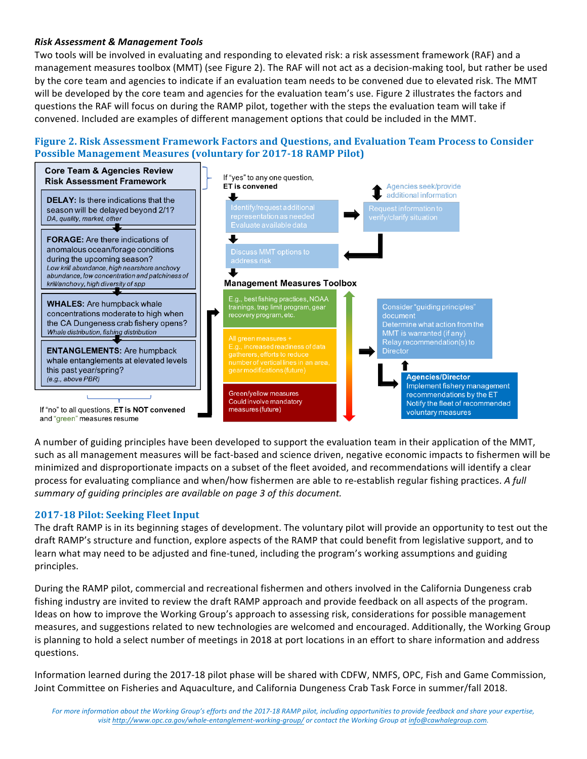### *Risk Assessment & Management Tools*

Two tools will be involved in evaluating and responding to elevated risk: a risk assessment framework (RAF) and a management measures toolbox (MMT) (see Figure 2). The RAF will not act as a decision-making tool, but rather be used by the core team and agencies to indicate if an evaluation team needs to be convened due to elevated risk. The MMT will be developed by the core team and agencies for the evaluation team's use. Figure 2 illustrates the factors and questions the RAF will focus on during the RAMP pilot, together with the steps the evaluation team will take if convened. Included are examples of different management options that could be included in the MMT.

## **Figure 2. Risk Assessment Framework Factors and Questions, and Evaluation Team Process to Consider Possible Management Measures (voluntary for 2017-18 RAMP Pilot)**



A number of guiding principles have been developed to support the evaluation team in their application of the MMT, such as all management measures will be fact-based and science driven, negative economic impacts to fishermen will be minimized and disproportionate impacts on a subset of the fleet avoided, and recommendations will identify a clear process for evaluating compliance and when/how fishermen are able to re-establish regular fishing practices. A full *summary of guiding principles are available on page 3 of this document.*

## **2017-18 Pilot: Seeking Fleet Input**

The draft RAMP is in its beginning stages of development. The voluntary pilot will provide an opportunity to test out the draft RAMP's structure and function, explore aspects of the RAMP that could benefit from legislative support, and to learn what may need to be adjusted and fine-tuned, including the program's working assumptions and guiding principles.

During the RAMP pilot, commercial and recreational fishermen and others involved in the California Dungeness crab fishing industry are invited to review the draft RAMP approach and provide feedback on all aspects of the program. Ideas on how to improve the Working Group's approach to assessing risk, considerations for possible management measures, and suggestions related to new technologies are welcomed and encouraged. Additionally, the Working Group is planning to hold a select number of meetings in 2018 at port locations in an effort to share information and address questions.

Information learned during the 2017-18 pilot phase will be shared with CDFW, NMFS, OPC, Fish and Game Commission, Joint Committee on Fisheries and Aquaculture, and California Dungeness Crab Task Force in summer/fall 2018.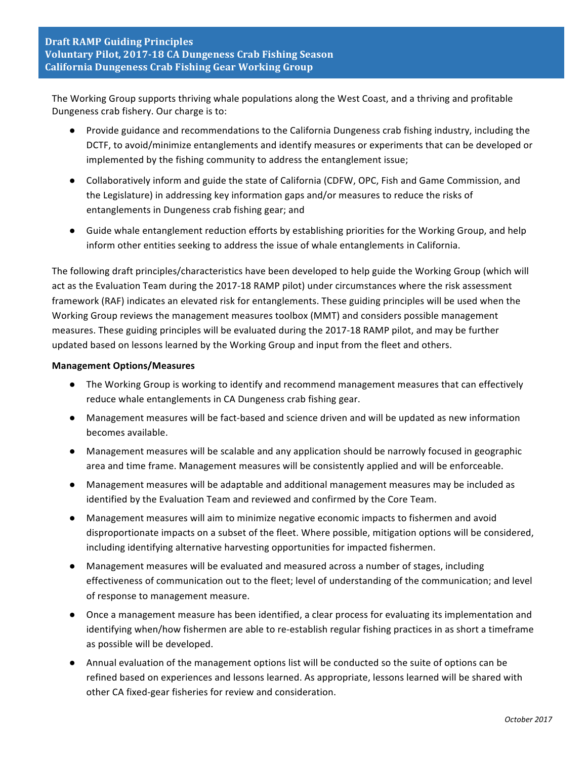The Working Group supports thriving whale populations along the West Coast, and a thriving and profitable Dungeness crab fishery. Our charge is to:

- Provide guidance and recommendations to the California Dungeness crab fishing industry, including the DCTF, to avoid/minimize entanglements and identify measures or experiments that can be developed or implemented by the fishing community to address the entanglement issue;
- Collaboratively inform and guide the state of California (CDFW, OPC, Fish and Game Commission, and the Legislature) in addressing key information gaps and/or measures to reduce the risks of entanglements in Dungeness crab fishing gear; and
- Guide whale entanglement reduction efforts by establishing priorities for the Working Group, and help inform other entities seeking to address the issue of whale entanglements in California.

The following draft principles/characteristics have been developed to help guide the Working Group (which will act as the Evaluation Team during the 2017-18 RAMP pilot) under circumstances where the risk assessment framework (RAF) indicates an elevated risk for entanglements. These guiding principles will be used when the Working Group reviews the management measures toolbox (MMT) and considers possible management measures. These guiding principles will be evaluated during the 2017-18 RAMP pilot, and may be further updated based on lessons learned by the Working Group and input from the fleet and others.

### **Management Options/Measures**

- The Working Group is working to identify and recommend management measures that can effectively reduce whale entanglements in CA Dungeness crab fishing gear.
- Management measures will be fact-based and science driven and will be updated as new information becomes available.
- Management measures will be scalable and any application should be narrowly focused in geographic area and time frame. Management measures will be consistently applied and will be enforceable.
- Management measures will be adaptable and additional management measures may be included as identified by the Evaluation Team and reviewed and confirmed by the Core Team.
- Management measures will aim to minimize negative economic impacts to fishermen and avoid disproportionate impacts on a subset of the fleet. Where possible, mitigation options will be considered, including identifying alternative harvesting opportunities for impacted fishermen.
- Management measures will be evaluated and measured across a number of stages, including effectiveness of communication out to the fleet; level of understanding of the communication; and level of response to management measure.
- Once a management measure has been identified, a clear process for evaluating its implementation and identifying when/how fishermen are able to re-establish regular fishing practices in as short a timeframe as possible will be developed.
- Annual evaluation of the management options list will be conducted so the suite of options can be refined based on experiences and lessons learned. As appropriate, lessons learned will be shared with other CA fixed-gear fisheries for review and consideration.